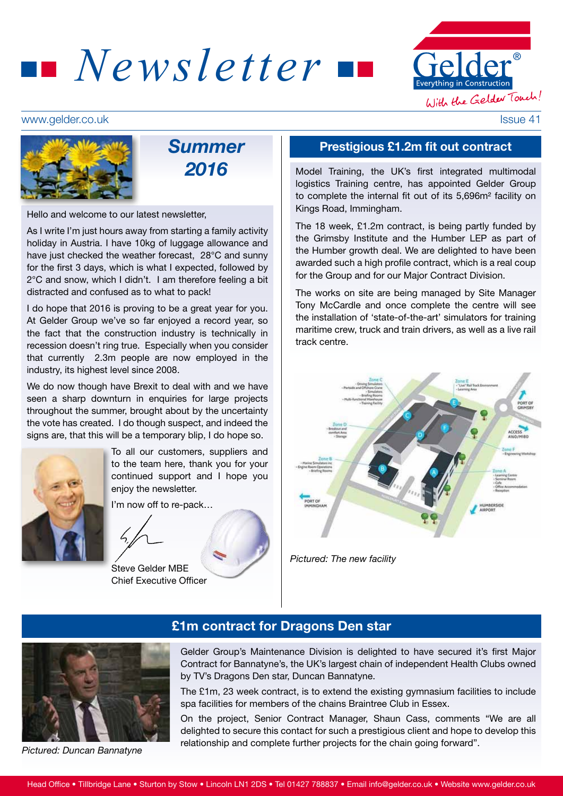



#### www.gelder.co.uk Issue 41



# *Summer 2016*

Hello and welcome to our latest newsletter,

As I write I'm just hours away from starting a family activity holiday in Austria. I have 10kg of luggage allowance and have just checked the weather forecast, 28°C and sunny for the first 3 days, which is what I expected, followed by 2°C and snow, which I didn't. I am therefore feeling a bit distracted and confused as to what to pack!

I do hope that 2016 is proving to be a great year for you. At Gelder Group we've so far enjoyed a record year, so the fact that the construction industry is technically in recession doesn't ring true. Especially when you consider that currently 2.3m people are now employed in the industry, its highest level since 2008.

We do now though have Brexit to deal with and we have seen a sharp downturn in enquiries for large projects throughout the summer, brought about by the uncertainty the vote has created. I do though suspect, and indeed the signs are, that this will be a temporary blip, I do hope so.



To all our customers, suppliers and to the team here, thank you for your continued support and I hope you enjoy the newsletter.

I'm now off to re-pack…

Steve Gelder MBE Chief Executive Officer

#### Prestigious £1.2m fit out contract

Model Training, the UK's first integrated multimodal logistics Training centre, has appointed Gelder Group to complete the internal fit out of its 5,696m² facility on Kings Road, Immingham.

The 18 week, £1.2m contract, is being partly funded by the Grimsby Institute and the Humber LEP as part of the Humber growth deal. We are delighted to have been awarded such a high profile contract, which is a real coup for the Group and for our Major Contract Division.

The works on site are being managed by Site Manager Tony McCardle and once complete the centre will see the installation of 'state-of-the-art' simulators for training maritime crew, truck and train drivers, as well as a live rail track centre.



*Pictured: The new facility*



*Pictured: Duncan Bannatyne*

#### £1m contract for Dragons Den star

Gelder Group's Maintenance Division is delighted to have secured it's first Major Contract for Bannatyne's, the UK's largest chain of independent Health Clubs owned by TV's Dragons Den star, Duncan Bannatyne.

The £1m, 23 week contract, is to extend the existing gymnasium facilities to include spa facilities for members of the chains Braintree Club in Essex.

On the project, Senior Contract Manager, Shaun Cass, comments "We are all delighted to secure this contact for such a prestigious client and hope to develop this relationship and complete further projects for the chain going forward".